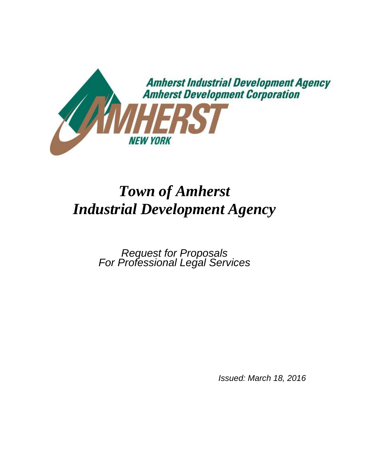

# *Town of Amherst Industrial Development Agency*

*Request for Proposals For Professional Legal Services*

*Issued: March 18, 2016*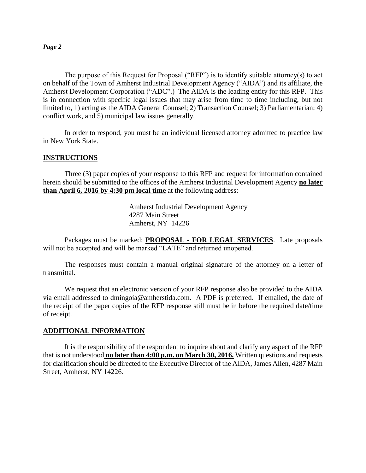The purpose of this Request for Proposal ("RFP") is to identify suitable attorney(s) to act on behalf of the Town of Amherst Industrial Development Agency ("AIDA") and its affiliate, the Amherst Development Corporation ("ADC".) The AIDA is the leading entity for this RFP. This is in connection with specific legal issues that may arise from time to time including, but not limited to, 1) acting as the AIDA General Counsel; 2) Transaction Counsel; 3) Parliamentarian; 4) conflict work, and 5) municipal law issues generally.

In order to respond, you must be an individual licensed attorney admitted to practice law in New York State.

#### **INSTRUCTIONS**

Three (3) paper copies of your response to this RFP and request for information contained herein should be submitted to the offices of the Amherst Industrial Development Agency **no later than April 6, 2016 by 4:30 pm local time** at the following address:

> Amherst Industrial Development Agency 4287 Main Street Amherst, NY 14226

Packages must be marked: **PROPOSAL - FOR LEGAL SERVICES**. Late proposals will not be accepted and will be marked "LATE" and returned unopened.

The responses must contain a manual original signature of the attorney on a letter of transmittal.

We request that an electronic version of your RFP response also be provided to the AIDA via email addressed to dmingoia@amherstida.com. A PDF is preferred. If emailed, the date of the receipt of the paper copies of the RFP response still must be in before the required date/time of receipt.

#### **ADDITIONAL INFORMATION**

It is the responsibility of the respondent to inquire about and clarify any aspect of the RFP that is not understood **no later than 4:00 p.m. on March 30, 2016.** Written questions and requests for clarification should be directed to the Executive Director of the AIDA, James Allen, 4287 Main Street, Amherst, NY 14226.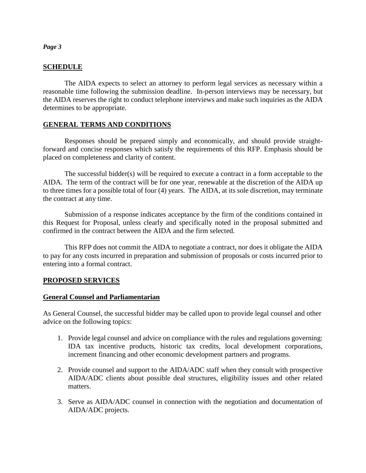## **SCHEDULE**

The AIDA expects to select an attorney to perform legal services as necessary within a reasonable time following the submission deadline. In-person interviews may be necessary, but the AIDA reserves the right to conduct telephone interviews and make such inquiries as the AIDA determines to be appropriate.

# **GENERAL TERMS AND CONDITIONS**

Responses should be prepared simply and economically, and should provide straightforward and concise responses which satisfy the requirements of this RFP. Emphasis should be placed on completeness and clarity of content.

The successful bidder(s) will be required to execute a contract in a form acceptable to the AIDA. The term of the contract will be for one year, renewable at the discretion of the AIDA up to three times for a possible total of four (4) years. The AIDA, at its sole discretion, may terminate the contract at any time.

Submission of a response indicates acceptance by the firm of the conditions contained in this Request for Proposal, unless clearly and specifically noted in the proposal submitted and confirmed in the contract between the AIDA and the firm selected.

This RFP does not commit the AIDA to negotiate a contract, nor does it obligate the AIDA to pay for any costs incurred in preparation and submission of proposals or costs incurred prior to entering into a formal contract.

# **PROPOSED SERVICES**

#### **General Counsel and Parliamentarian**

As General Counsel, the successful bidder may be called upon to provide legal counsel and other advice on the following topics:

- 1. Provide legal counsel and advice on compliance with the rules and regulations governing: IDA tax incentive products, historic tax credits, local development corporations, increment financing and other economic development partners and programs.
- 2. Provide counsel and support to the AIDA/ADC staff when they consult with prospective AIDA/ADC clients about possible deal structures, eligibility issues and other related matters.
- 3. Serve as AIDA/ADC counsel in connection with the negotiation and documentation of AIDA/ADC projects.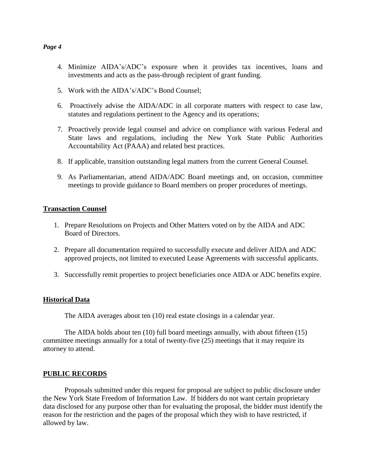- 4. Minimize AIDA's/ADC's exposure when it provides tax incentives, loans and investments and acts as the pass-through recipient of grant funding.
- 5. Work with the AIDA's/ADC's Bond Counsel;
- 6. Proactively advise the AIDA/ADC in all corporate matters with respect to case law, statutes and regulations pertinent to the Agency and its operations;
- 7. Proactively provide legal counsel and advice on compliance with various Federal and State laws and regulations, including the New York State Public Authorities Accountability Act (PAAA) and related best practices.
- 8. If applicable, transition outstanding legal matters from the current General Counsel.
- 9. As Parliamentarian, attend AIDA/ADC Board meetings and, on occasion, committee meetings to provide guidance to Board members on proper procedures of meetings.

#### **Transaction Counsel**

- 1. Prepare Resolutions on Projects and Other Matters voted on by the AIDA and ADC Board of Directors.
- 2. Prepare all documentation required to successfully execute and deliver AIDA and ADC approved projects, not limited to executed Lease Agreements with successful applicants.
- 3. Successfully remit properties to project beneficiaries once AIDA or ADC benefits expire.

#### **Historical Data**

The AIDA averages about ten (10) real estate closings in a calendar year.

The AIDA holds about ten (10) full board meetings annually, with about fifteen (15) committee meetings annually for a total of twenty-five (25) meetings that it may require its attorney to attend.

#### **PUBLIC RECORDS**

Proposals submitted under this request for proposal are subject to public disclosure under the New York State Freedom of Information Law. If bidders do not want certain proprietary data disclosed for any purpose other than for evaluating the proposal, the bidder must identify the reason for the restriction and the pages of the proposal which they wish to have restricted, if allowed by law.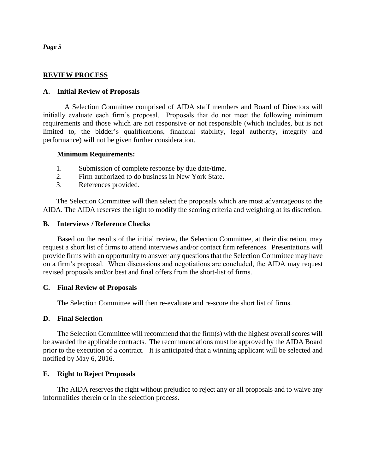#### **REVIEW PROCESS**

#### **A. Initial Review of Proposals**

A Selection Committee comprised of AIDA staff members and Board of Directors will initially evaluate each firm's proposal. Proposals that do not meet the following minimum requirements and those which are not responsive or not responsible (which includes, but is not limited to, the bidder's qualifications, financial stability, legal authority, integrity and performance) will not be given further consideration.

#### **Minimum Requirements:**

- 1. Submission of complete response by due date/time.
- 2. Firm authorized to do business in New York State.
- 3. References provided.

The Selection Committee will then select the proposals which are most advantageous to the AIDA. The AIDA reserves the right to modify the scoring criteria and weighting at its discretion.

#### **B. Interviews / Reference Checks**

Based on the results of the initial review, the Selection Committee, at their discretion, may request a short list of firms to attend interviews and/or contact firm references. Presentations will provide firms with an opportunity to answer any questions that the Selection Committee may have on a firm's proposal. When discussions and negotiations are concluded, the AIDA may request revised proposals and/or best and final offers from the short-list of firms.

#### **C. Final Review of Proposals**

The Selection Committee will then re-evaluate and re-score the short list of firms.

#### **D. Final Selection**

The Selection Committee will recommend that the firm(s) with the highest overall scores will be awarded the applicable contracts. The recommendations must be approved by the AIDA Board prior to the execution of a contract. It is anticipated that a winning applicant will be selected and notified by May 6, 2016.

#### **E. Right to Reject Proposals**

The AIDA reserves the right without prejudice to reject any or all proposals and to waive any informalities therein or in the selection process.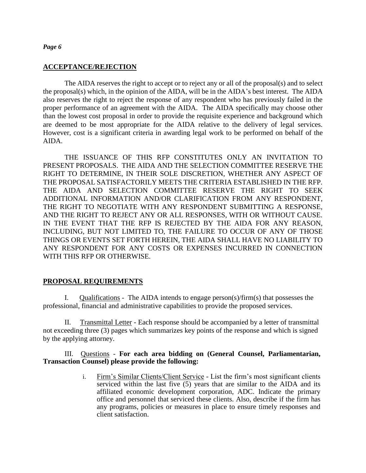#### **ACCEPTANCE/REJECTION**

The AIDA reserves the right to accept or to reject any or all of the proposal(s) and to select the proposal(s) which, in the opinion of the AIDA, will be in the AIDA's best interest. The AIDA also reserves the right to reject the response of any respondent who has previously failed in the proper performance of an agreement with the AIDA. The AIDA specifically may choose other than the lowest cost proposal in order to provide the requisite experience and background which are deemed to be most appropriate for the AIDA relative to the delivery of legal services. However, cost is a significant criteria in awarding legal work to be performed on behalf of the AIDA.

THE ISSUANCE OF THIS RFP CONSTITUTES ONLY AN INVITATION TO PRESENT PROPOSALS. THE AIDA AND THE SELECTION COMMITTEE RESERVE THE RIGHT TO DETERMINE, IN THEIR SOLE DISCRETION, WHETHER ANY ASPECT OF THE PROPOSAL SATISFACTORILY MEETS THE CRITERIA ESTABLISHED IN THE RFP. THE AIDA AND SELECTION COMMITTEE RESERVE THE RIGHT TO SEEK ADDITIONAL INFORMATION AND/OR CLARIFICATION FROM ANY RESPONDENT, THE RIGHT TO NEGOTIATE WITH ANY RESPONDENT SUBMITTING A RESPONSE, AND THE RIGHT TO REJECT ANY OR ALL RESPONSES, WITH OR WITHOUT CAUSE. IN THE EVENT THAT THE RFP IS REJECTED BY THE AIDA FOR ANY REASON, INCLUDING, BUT NOT LIMITED TO, THE FAILURE TO OCCUR OF ANY OF THOSE THINGS OR EVENTS SET FORTH HEREIN, THE AIDA SHALL HAVE NO LIABILITY TO ANY RESPONDENT FOR ANY COSTS OR EXPENSES INCURRED IN CONNECTION WITH THIS RFP OR OTHERWISE.

#### **PROPOSAL REQUIREMENTS**

I. Qualifications - The AIDA intends to engage person(s)/firm(s) that possesses the professional, financial and administrative capabilities to provide the proposed services.

II. Transmittal Letter - Each response should be accompanied by a letter of transmittal not exceeding three (3) pages which summarizes key points of the response and which is signed by the applying attorney.

#### III. Questions - **For each area bidding on (General Counsel, Parliamentarian, Transaction Counsel) please provide the following:**

i. Firm's Similar Clients/Client Service - List the firm's most significant clients serviced within the last five (5) years that are similar to the AIDA and its affiliated economic development corporation, ADC. Indicate the primary office and personnel that serviced these clients. Also, describe if the firm has any programs, policies or measures in place to ensure timely responses and client satisfaction.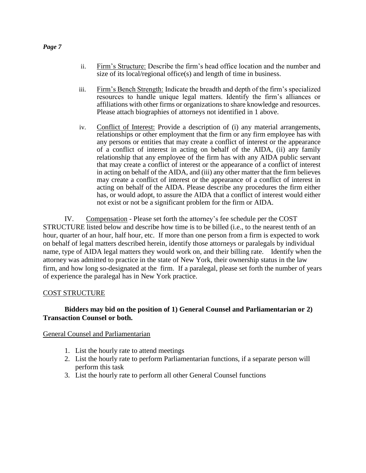- ii. Firm's Structure: Describe the firm's head office location and the number and size of its local/regional office(s) and length of time in business.
- iii. Firm's Bench Strength: Indicate the breadth and depth of the firm's specialized resources to handle unique legal matters. Identify the firm's alliances or affiliations with other firms or organizations to share knowledge and resources. Please attach biographies of attorneys not identified in 1 above.
- iv. Conflict of Interest: Provide a description of (i) any material arrangements, relationships or other employment that the firm or any firm employee has with any persons or entities that may create a conflict of interest or the appearance of a conflict of interest in acting on behalf of the AIDA, (ii) any family relationship that any employee of the firm has with any AIDA public servant that may create a conflict of interest or the appearance of a conflict of interest in acting on behalf of the AIDA, and (iii) any other matter that the firm believes may create a conflict of interest or the appearance of a conflict of interest in acting on behalf of the AIDA. Please describe any procedures the firm either has, or would adopt, to assure the AIDA that a conflict of interest would either not exist or not be a significant problem for the firm or AIDA.

IV. Compensation - Please set forth the attorney's fee schedule per the COST STRUCTURE listed below and describe how time is to be billed (i.e., to the nearest tenth of an hour, quarter of an hour, half hour, etc. If more than one person from a firm is expected to work on behalf of legal matters described herein, identify those attorneys or paralegals by individual name, type of AIDA legal matters they would work on, and their billing rate. Identify when the attorney was admitted to practice in the state of New York, their ownership status in the law firm, and how long so-designated at the firm. If a paralegal, please set forth the number of years of experience the paralegal has in New York practice.

#### COST STRUCTURE

## **Bidders may bid on the position of 1) General Counsel and Parliamentarian or 2) Transaction Counsel or both.**

#### General Counsel and Parliamentarian

- 1. List the hourly rate to attend meetings
- 2. List the hourly rate to perform Parliamentarian functions, if a separate person will perform this task
- 3. List the hourly rate to perform all other General Counsel functions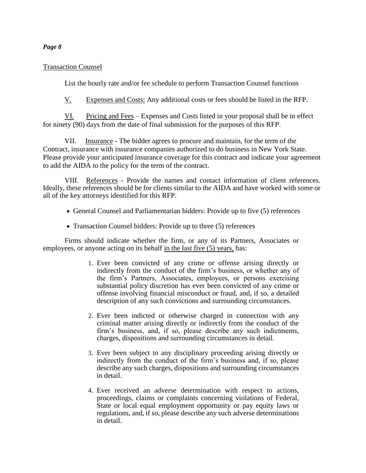#### Transaction Counsel

List the hourly rate and/or fee schedule to perform Transaction Counsel functions

V. Expenses and Costs: Any additional costs or fees should be listed in the RFP.

VI. Pricing and Fees – Expenses and Costs listed in your proposal shall be in effect for ninety (90) days from the date of final submission for the purposes of this RFP.

VII. Insurance - The bidder agrees to procure and maintain, for the term of the Contract, insurance with insurance companies authorized to do business in New York State. Please provide your anticipated insurance coverage for this contract and indicate your agreement to add the AIDA to the policy for the term of the contract.

VIII. References - Provide the names and contact information of client references. Ideally, these references should be for clients similar to the AIDA and have worked with some or all of the key attorneys identified for this RFP.

- General Counsel and Parliamentarian bidders: Provide up to five (5) references
- Transaction Counsel bidders: Provide up to three (5) references

Firms should indicate whether the firm, or any of its Partners, Associates or employees, or anyone acting on its behalf in the last five (5) years, has:

- 1. Ever been convicted of any crime or offense arising directly or indirectly from the conduct of the firm's business, or whether any of the firm's Partners, Associates, employees, or persons exercising substantial policy discretion has ever been convicted of any crime or offense involving financial misconduct or fraud, and, if so, a detailed description of any such convictions and surrounding circumstances.
- 2. Ever been indicted or otherwise charged in connection with any criminal matter arising directly or indirectly from the conduct of the firm's business, and, if so, please describe any such indictments, charges, dispositions and surrounding circumstances in detail.
- 3. Ever been subject to any disciplinary proceeding arising directly or indirectly from the conduct of the firm's business and, if so, please describe any such charges, dispositions and surrounding circumstances in detail.
- 4. Ever received an adverse determination with respect to actions, proceedings, claims or complaints concerning violations of Federal, State or local equal employment opportunity or pay equity laws or regulations, and, if so, please describe any such adverse determinations in detail.